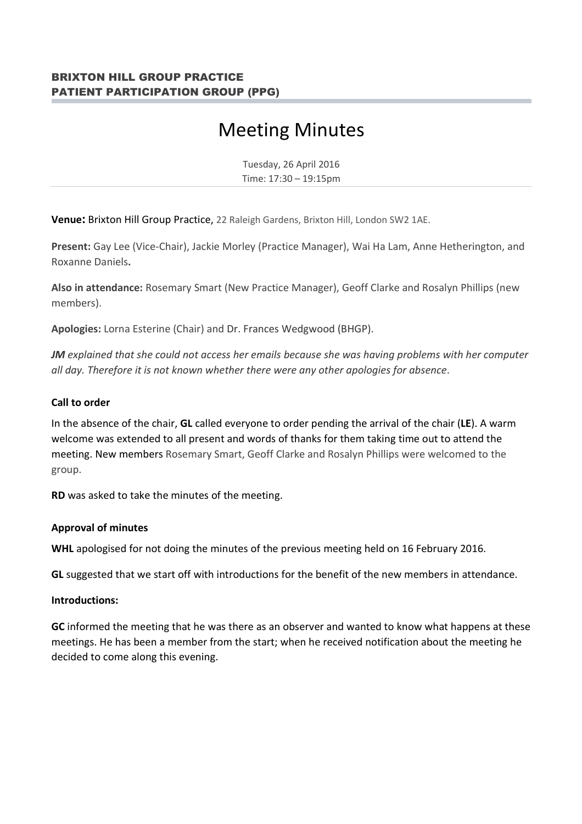# BRIXTON HILL GROUP PRACTICE PATIENT PARTICIPATION GROUP (PPG)

# Meeting Minutes

Tuesday, 26 April 2016 Time: 17:30 – 19:15pm

**Venue:** Brixton Hill Group Practice, 22 Raleigh Gardens, Brixton Hill, London SW2 1AE.

**Present:** Gay Lee (Vice-Chair), Jackie Morley (Practice Manager), Wai Ha Lam, Anne Hetherington, and Roxanne Daniels**.** 

**Also in attendance:** Rosemary Smart (New Practice Manager), Geoff Clarke and Rosalyn Phillips (new members).

**Apologies:** Lorna Esterine (Chair) and Dr. Frances Wedgwood (BHGP).

*JM explained that she could not access her emails because she was having problems with her computer all day. Therefore it is not known whether there were any other apologies for absence*.

# **Call to order**

In the absence of the chair, **GL** called everyone to order pending the arrival of the chair (**LE**). A warm welcome was extended to all present and words of thanks for them taking time out to attend the meeting. New members Rosemary Smart, Geoff Clarke and Rosalyn Phillips were welcomed to the group.

**RD** was asked to take the minutes of the meeting.

# **Approval of minutes**

**WHL** apologised for not doing the minutes of the previous meeting held on 16 February 2016.

**GL** suggested that we start off with introductions for the benefit of the new members in attendance.

# **Introductions:**

**GC** informed the meeting that he was there as an observer and wanted to know what happens at these meetings. He has been a member from the start; when he received notification about the meeting he decided to come along this evening.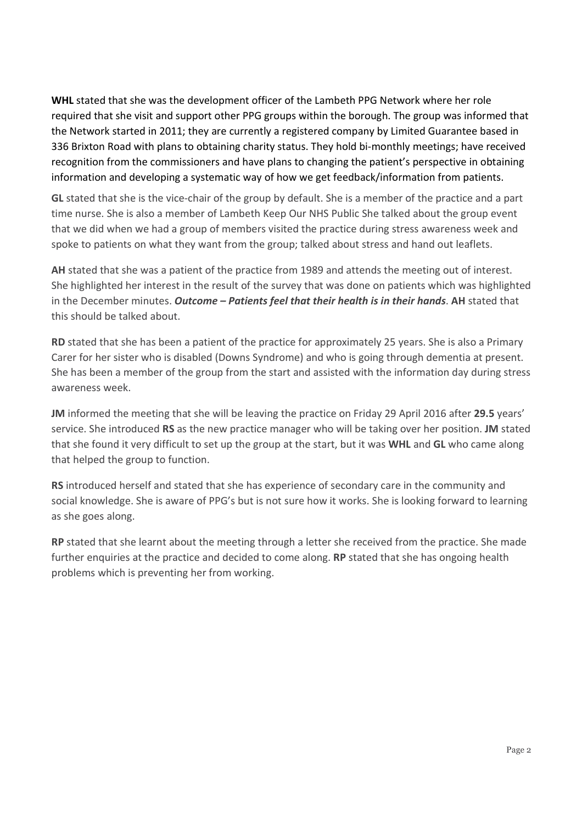**WHL** stated that she was the development officer of the Lambeth PPG Network where her role required that she visit and support other PPG groups within the borough. The group was informed that the Network started in 2011; they are currently a registered company by Limited Guarantee based in 336 Brixton Road with plans to obtaining charity status. They hold bi-monthly meetings; have received recognition from the commissioners and have plans to changing the patient's perspective in obtaining information and developing a systematic way of how we get feedback/information from patients.

**GL** stated that she is the vice-chair of the group by default. She is a member of the practice and a part time nurse. She is also a member of Lambeth Keep Our NHS Public She talked about the group event that we did when we had a group of members visited the practice during stress awareness week and spoke to patients on what they want from the group; talked about stress and hand out leaflets.

**AH** stated that she was a patient of the practice from 1989 and attends the meeting out of interest. She highlighted her interest in the result of the survey that was done on patients which was highlighted in the December minutes. *Outcome – Patients feel that their health is in their hands*. **AH** stated that this should be talked about.

**RD** stated that she has been a patient of the practice for approximately 25 years. She is also a Primary Carer for her sister who is disabled (Downs Syndrome) and who is going through dementia at present. She has been a member of the group from the start and assisted with the information day during stress awareness week.

**JM** informed the meeting that she will be leaving the practice on Friday 29 April 2016 after **29.5** years' service. She introduced **RS** as the new practice manager who will be taking over her position. **JM** stated that she found it very difficult to set up the group at the start, but it was **WHL** and **GL** who came along that helped the group to function.

**RS** introduced herself and stated that she has experience of secondary care in the community and social knowledge. She is aware of PPG's but is not sure how it works. She is looking forward to learning as she goes along.

**RP** stated that she learnt about the meeting through a letter she received from the practice. She made further enquiries at the practice and decided to come along. **RP** stated that she has ongoing health problems which is preventing her from working.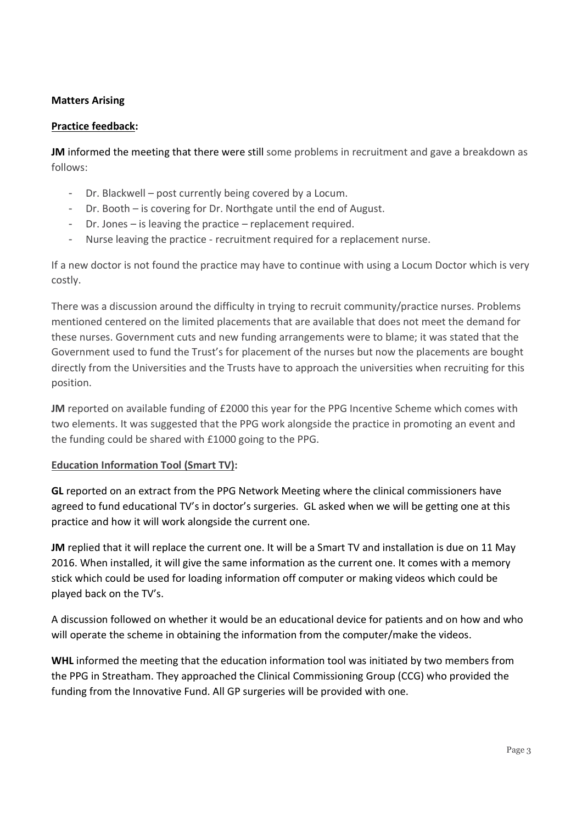# **Matters Arising**

# **Practice feedback:**

**JM** informed the meeting that there were still some problems in recruitment and gave a breakdown as follows:

- Dr. Blackwell post currently being covered by a Locum.
- Dr. Booth is covering for Dr. Northgate until the end of August.
- Dr. Jones  $-$  is leaving the practice  $-$  replacement required.
- Nurse leaving the practice recruitment required for a replacement nurse.

If a new doctor is not found the practice may have to continue with using a Locum Doctor which is very costly.

There was a discussion around the difficulty in trying to recruit community/practice nurses. Problems mentioned centered on the limited placements that are available that does not meet the demand for these nurses. Government cuts and new funding arrangements were to blame; it was stated that the Government used to fund the Trust's for placement of the nurses but now the placements are bought directly from the Universities and the Trusts have to approach the universities when recruiting for this position.

**JM** reported on available funding of £2000 this year for the PPG Incentive Scheme which comes with two elements. It was suggested that the PPG work alongside the practice in promoting an event and the funding could be shared with £1000 going to the PPG.

# **Education Information Tool (Smart TV):**

**GL** reported on an extract from the PPG Network Meeting where the clinical commissioners have agreed to fund educational TV's in doctor's surgeries. GL asked when we will be getting one at this practice and how it will work alongside the current one.

**JM** replied that it will replace the current one. It will be a Smart TV and installation is due on 11 May 2016. When installed, it will give the same information as the current one. It comes with a memory stick which could be used for loading information off computer or making videos which could be played back on the TV's.

A discussion followed on whether it would be an educational device for patients and on how and who will operate the scheme in obtaining the information from the computer/make the videos.

**WHL** informed the meeting that the education information tool was initiated by two members from the PPG in Streatham. They approached the Clinical Commissioning Group (CCG) who provided the funding from the Innovative Fund. All GP surgeries will be provided with one.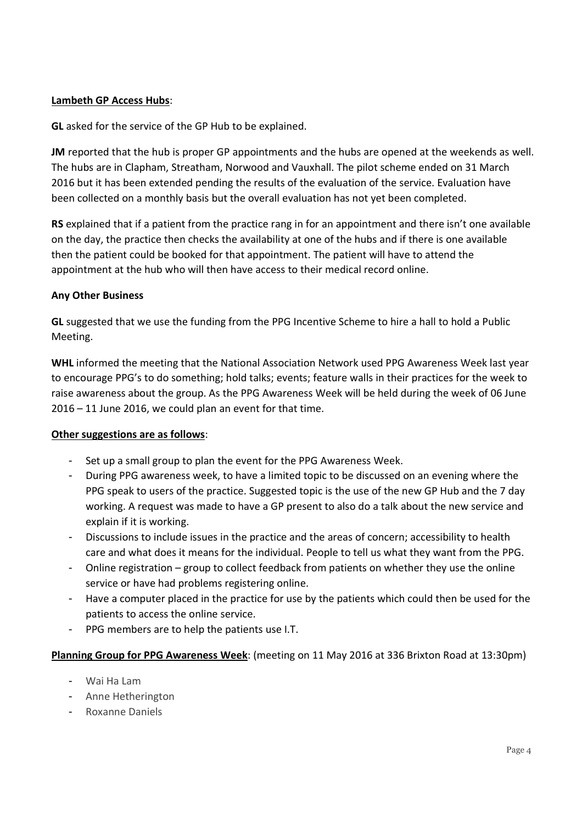# **Lambeth GP Access Hubs**:

**GL** asked for the service of the GP Hub to be explained.

**JM** reported that the hub is proper GP appointments and the hubs are opened at the weekends as well. The hubs are in Clapham, Streatham, Norwood and Vauxhall. The pilot scheme ended on 31 March 2016 but it has been extended pending the results of the evaluation of the service. Evaluation have been collected on a monthly basis but the overall evaluation has not yet been completed.

**RS** explained that if a patient from the practice rang in for an appointment and there isn't one available on the day, the practice then checks the availability at one of the hubs and if there is one available then the patient could be booked for that appointment. The patient will have to attend the appointment at the hub who will then have access to their medical record online.

# **Any Other Business**

**GL** suggested that we use the funding from the PPG Incentive Scheme to hire a hall to hold a Public Meeting.

**WHL** informed the meeting that the National Association Network used PPG Awareness Week last year to encourage PPG's to do something; hold talks; events; feature walls in their practices for the week to raise awareness about the group. As the PPG Awareness Week will be held during the week of 06 June 2016 – 11 June 2016, we could plan an event for that time.

# **Other suggestions are as follows**:

- Set up a small group to plan the event for the PPG Awareness Week.
- During PPG awareness week, to have a limited topic to be discussed on an evening where the PPG speak to users of the practice. Suggested topic is the use of the new GP Hub and the 7 day working. A request was made to have a GP present to also do a talk about the new service and explain if it is working.
- Discussions to include issues in the practice and the areas of concern; accessibility to health care and what does it means for the individual. People to tell us what they want from the PPG.
- Online registration group to collect feedback from patients on whether they use the online service or have had problems registering online.
- Have a computer placed in the practice for use by the patients which could then be used for the patients to access the online service.
- PPG members are to help the patients use I.T.

# **Planning Group for PPG Awareness Week**: (meeting on 11 May 2016 at 336 Brixton Road at 13:30pm)

- Wai Ha Lam
- Anne Hetherington
- Roxanne Daniels